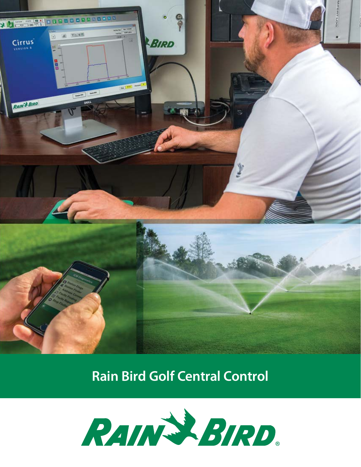

## **Rain Bird Golf Central Control**

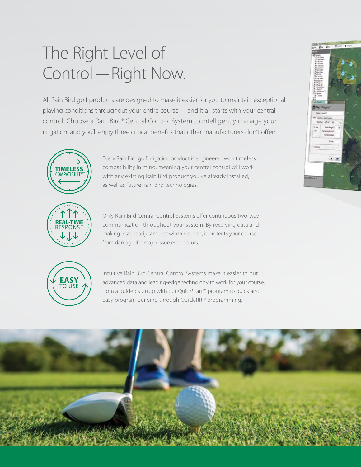## The Right Level of Control—Right Now.

All Rain Bird golf products are designed to make it easier for you to maintain exceptional playing conditions throughout your entire course—and it all starts with your central control. Choose a Rain Bird® Central Control System to intelligently manage your irrigation, and you'll enjoy three critical benefits that other manufacturers don't offer:



Every Rain Bird golf irrigation product is engineered with timeless compatibility in mind, meaning your central control will work with any existing Rain Bird product you've already installed, as well as future Rain Bird technologies.



Only Rain Bird Central Control Systems offer continuous two-way communication throughout your system. By receiving data and making instant adjustments when needed, it protects your course from damage if a major issue ever occurs.



Intuitive Rain Bird Central Control Systems make it easier to put advanced data and leading-edge technology to work for your course, from a guided startup with our QuickStart™ program to quick and easy program building through QuickIRR™ programming.



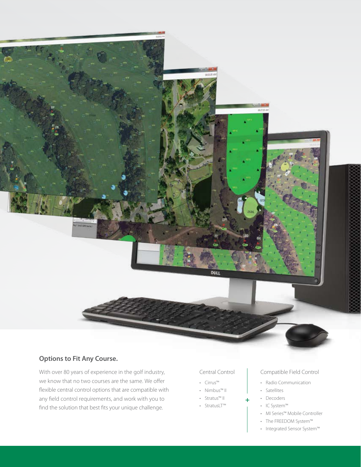

### **Options to Fit Any Course.**

With over 80 years of experience in the golf industry, we know that no two courses are the same. We offer flexible central control options that are compatible with any field control requirements, and work with you to find the solution that best fits your unique challenge.

### Central Control

- Cirrus™
- Nimbus™ II
- Stratus™ II
- StratusLT™
- 

### Compatible Field Control

- Radio Communication
- Satellites
- Decoders
- IC System™
- MI Series™ Mobile Controller
- The FREEDOM System™
- Integrated Sensor System™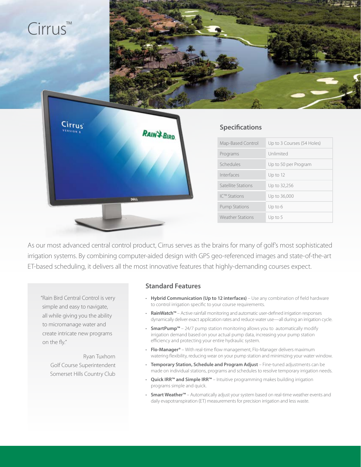

As our most advanced central control product, Cirrus serves as the brains for many of golf's most sophisticated irrigation systems. By combining computer-aided design with GPS geo-referenced images and state-of-the-art ET-based scheduling, it delivers all the most innovative features that highly-demanding courses expect.

"Rain Bird Central Control is very simple and easy to navigate, all while giving you the ability to micromanage water and create intricate new programs on the fly."

> Ryan Tuxhorn Golf Course Superintendent Somerset Hills Country Club

### **Standard Features**

- **Hybrid Communication (Up to 12 interfaces)**  Use any combination of field hardware to control irrigation specific to your course requirements.
- **RainWatch™** Active rainfall monitoring and automatic user-defined irrigation responses dynamically deliver exact application rates and reduce water use—all during an irrigation cycle.
- **SmartPump™** 24/7 pump station monitoring allows you to automatically modify irrigation demand based on your actual pump data, increasing your pump station efficiency and protecting your entire hydraulic system.
- **Flo-Manager®**  With real-time flow management, Flo-Manager delivers maximum watering flexibility, reducing wear on your pump station and minimizing your water window.
- **Temporary Station, Schedule and Program Adjust** Fine-tuned adjustments can be made on individual stations, programs and schedules to resolve temporary irrigation needs.
- **Quick IRR™ and Simple IRR™** Intuitive programming makes building irrigation programs simple and quick.
- **Smart Weather™** Automatically adjust your system based on real-time weather events and daily evapotranspiration (ET) measurements for precision irrigation and less waste.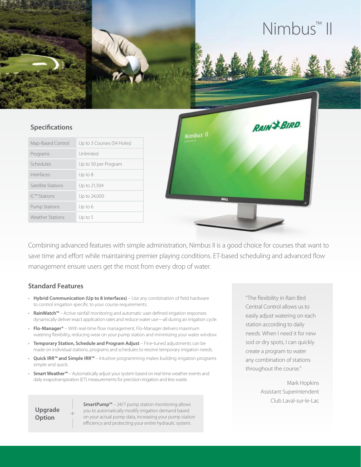# Nimbus™ II

### **Specifications**

| Map-Based Control       | Up to 3 Courses (54 Holes) |
|-------------------------|----------------------------|
| Programs                | Unlimited                  |
| Schedules               | Up to 50 per Program       |
| Interfaces              | Up to $8$                  |
| Satellite Stations      | Up to 21,504               |
| IC™ Stations            | Up to 24,000               |
| <b>Pump Stations</b>    | Up to 6                    |
| <b>Weather Stations</b> | Up to $5$                  |



Combining advanced features with simple administration, Nimbus II is a good choice for courses that want to save time and effort while maintaining premier playing conditions. ET-based scheduling and advanced flow management ensure users get the most from every drop of water.

### **Standard Features**

- **Hybrid Communication (Up to 8 interfaces)**  Use any combination of field hardware to control irrigation specific to your course requirements.
- **RainWatch™** Active rainfall monitoring and automatic user-defined irrigation responses dynamically deliver exact application rates and reduce water use—all during an irrigation cycle.
- **Flo-Manager®** With real-time flow management, Flo-Manager delivers maximum watering flexibility, reducing wear on your pump station and minimizing your water window.
- **Temporary Station, Schedule and Program Adjust** Fine-tuned adjustments can be made on individual stations, programs and schedules to resolve temporary irrigation needs.
- **Quick IRR™ and Simple IRR™** Intuitive programming makes building irrigation programs simple and quick.
- **Smart Weather™** Automatically adjust your system based on real-time weather events and daily evapotranspiration (ET) measurements for precision irrigation and less waste.

**Upgrade Option**

**SmartPump™** – 24/7 pump station monitoring allows you to automatically modify irrigation demand based on your actual pump data, increasing your pump station efficiency and protecting your entire hydraulic system.

"The flexibility in Rain Bird Central Control allows us to easily adjust watering on each station according to daily needs. When I need it for new sod or dry spots, I can quickly create a program to water any combination of stations throughout the course."

> Mark Hopkins Assistant Superintendent Club Laval-sur-le-Lac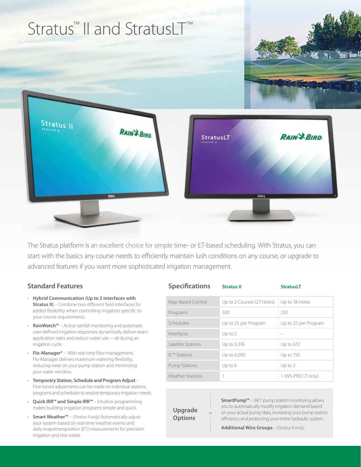

The Stratus platform is an excellent choice for simple time- or ET-based scheduling. With Stratus, you can start with the basics any course needs to efficiently maintain lush conditions on any course, or upgrade to advanced features if you want more sophisticated irrigation management.

### **Standard Features**

- **Hybrid Communication (Up to 2 interfaces with Stratus II)** – Combine two different field interfaces for added flexibility when controlling irrigation specific to your course requirements.
- **RainWatch™** Active rainfall monitoring and automatic user-defined irrigation responses dynamically deliver exact application rates and reduce water use—all during an irrigation cycle.
- **Flo-Manager®** With real-time flow management, Flo-Manager delivers maximum watering flexibility, reducing wear on your pump station and minimizing your water window.
- **Temporary Station, Schedule and Program Adjust** Fine-tuned adjustments can be made on individual stations, programs and schedules to resolve temporary irrigation needs.
- **Quick IRR™ and Simple IRR™** Intuitive programming makes building irrigation programs simple and quick.
- **Smart Weather™** *(Stratus II only)* Automatically adjust your system based on real-time weather events and daily evapotranspiration (ET) measurements for precision irrigation and less waste.

| <b>Specifications</b>   | <b>Stratus II</b>          | <b>StratusLT</b>     |
|-------------------------|----------------------------|----------------------|
| Map-Based Control       | Up to 2 Courses (27 Holes) | Up to 18 Holes       |
| Programs                | 500                        | 250                  |
| Schedules               | Up to 25 per Program       | Up to 25 per Program |
| Interfaces              | Up to $2$                  |                      |
| Satellite Stations      | Up to 5,376                | Up to 672            |
| IC™ Stations            | Up to 6,000                | Up to 750            |
| <b>Pump Stations</b>    | Up to 6                    | Up to 2              |
| <b>Weather Stations</b> |                            | 1 (WS-PRO LT only)   |

**Upgrade Options**

**SmartPump™** – 24/7 pump station monitoring allows you to automatically modify irrigation demand based on your actual pump data, increasing your pump station efficiency and protecting your entire hydraulic system.

**Additional Wire Groups** – (*Stratus II only)*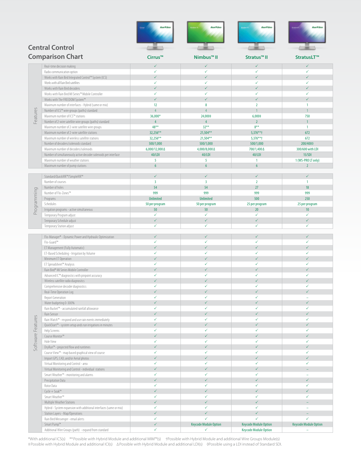

\*With additional ICS(s) \*\*Possible with Hybrid Module and additional MIM™(s) †Possible with Hybrid Module and additional Wire Groups Module(s) ‡Possible with Hybrid Module and additional ICI(s) ∆Possible with Hybrid Module and additional LDI(s) ◊Possible using a LDI instead of Standard SDI.